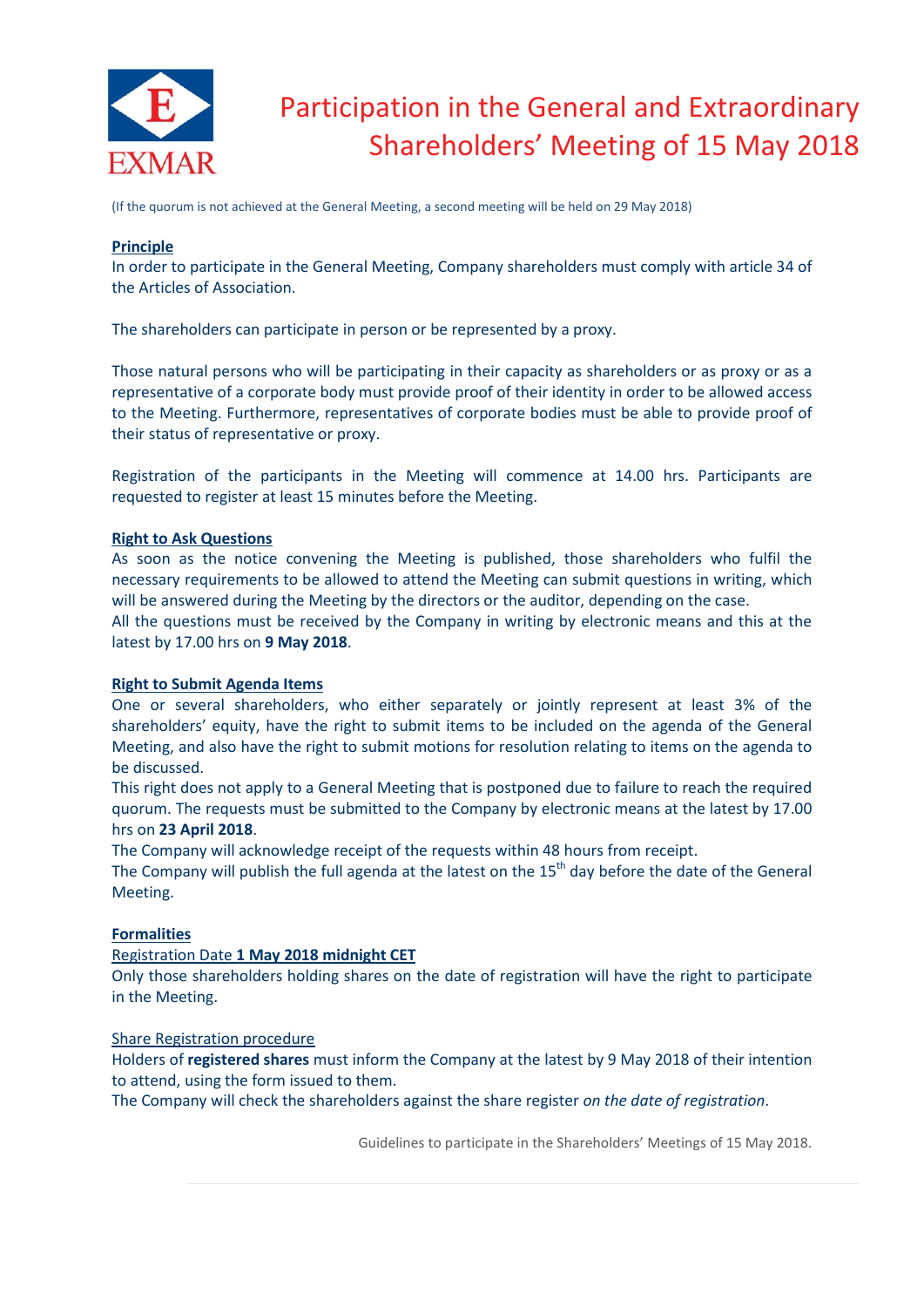

# Participation in the General and Extraordinary Shareholders' Meeting of 15 May 2018

(If the quorum is not achieved at the General Meeting, a second meeting will be held on 29 May 2018)

## **Principle**

In order to participate in the General Meeting, Company shareholders must comply with article 34 of the Articles of Association.

The shareholders can participate in person or be represented by a proxy.

Those natural persons who will be participating in their capacity as shareholders or as proxy or as a representative of a corporate body must provide proof of their identity in order to be allowed access to the Meeting. Furthermore, representatives of corporate bodies must be able to provide proof of their status of representative or proxy.

Registration of the participants in the Meeting will commence at 14.00 hrs. Participants are requested to register at least 15 minutes before the Meeting.

## **Right to Ask Questions**

As soon as the notice convening the Meeting is published, those shareholders who fulfil the necessary requirements to be allowed to attend the Meeting can submit questions in writing, which will be answered during the Meeting by the directors or the auditor, depending on the case.

All the questions must be received by the Company in writing by electronic means and this at the latest by 17.00 hrs on **9 May 2018**.

# **Right to Submit Agenda Items**

One or several shareholders, who either separately or jointly represent at least 3% of the shareholders' equity, have the right to submit items to be included on the agenda of the General Meeting, and also have the right to submit motions for resolution relating to items on the agenda to be discussed.

This right does not apply to a General Meeting that is postponed due to failure to reach the required quorum. The requests must be submitted to the Company by electronic means at the latest by 17.00 hrs on **23 April 2018**.

The Company will acknowledge receipt of the requests within 48 hours from receipt.

The Company will publish the full agenda at the latest on the 15<sup>th</sup> day before the date of the General Meeting.

# **Formalities**

# Registration Date **1 May 2018 midnight CET**

Only those shareholders holding shares on the date of registration will have the right to participate in the Meeting.

#### Share Registration procedure

Holders of **registered shares** must inform the Company at the latest by 9 May 2018 of their intention to attend, using the form issued to them.

The Company will check the shareholders against the share register *on the date of registration*.

Guidelines to participate in the Shareholders' Meetings of 15 May 2018.